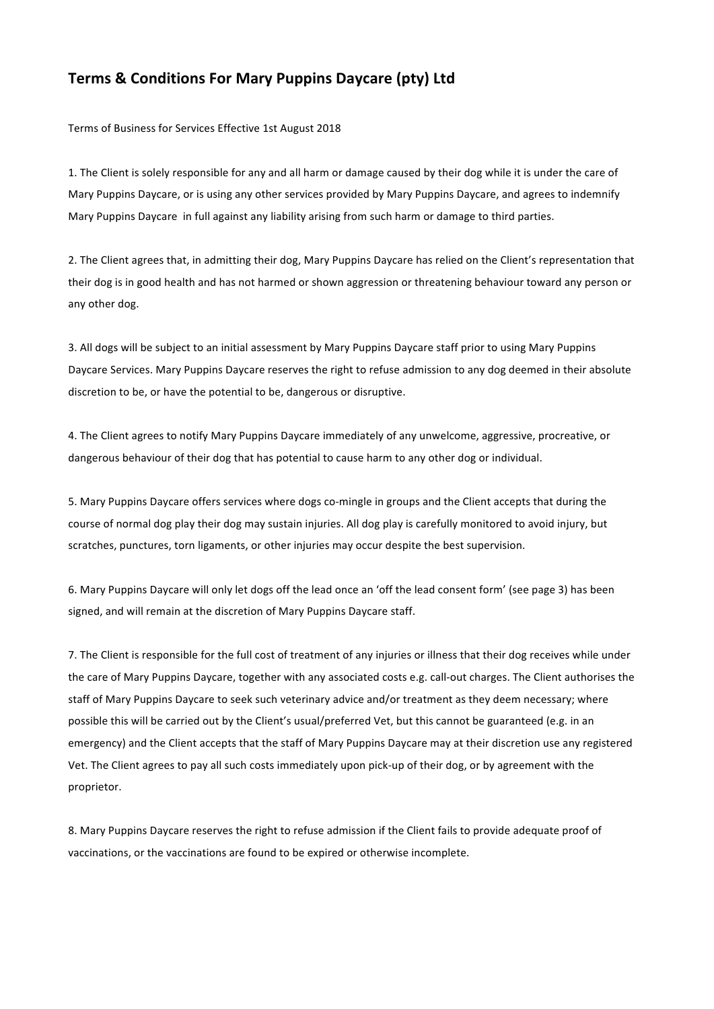## **Terms & Conditions For Mary Puppins Daycare (pty) Ltd**

Terms of Business for Services Effective 1st August 2018

1. The Client is solely responsible for any and all harm or damage caused by their dog while it is under the care of Mary Puppins Daycare, or is using any other services provided by Mary Puppins Daycare, and agrees to indemnify Mary Puppins Daycare in full against any liability arising from such harm or damage to third parties.

2. The Client agrees that, in admitting their dog, Mary Puppins Daycare has relied on the Client's representation that their dog is in good health and has not harmed or shown aggression or threatening behaviour toward any person or any other dog.

3. All dogs will be subject to an initial assessment by Mary Puppins Daycare staff prior to using Mary Puppins Daycare Services. Mary Puppins Daycare reserves the right to refuse admission to any dog deemed in their absolute discretion to be, or have the potential to be, dangerous or disruptive.

4. The Client agrees to notify Mary Puppins Daycare immediately of any unwelcome, aggressive, procreative, or dangerous behaviour of their dog that has potential to cause harm to any other dog or individual.

5. Mary Puppins Daycare offers services where dogs co-mingle in groups and the Client accepts that during the course of normal dog play their dog may sustain injuries. All dog play is carefully monitored to avoid injury, but scratches, punctures, torn ligaments, or other injuries may occur despite the best supervision.

6. Mary Puppins Daycare will only let dogs off the lead once an 'off the lead consent form' (see page 3) has been signed, and will remain at the discretion of Mary Puppins Daycare staff.

7. The Client is responsible for the full cost of treatment of any injuries or illness that their dog receives while under the care of Mary Puppins Daycare, together with any associated costs e.g. call-out charges. The Client authorises the staff of Mary Puppins Daycare to seek such veterinary advice and/or treatment as they deem necessary; where possible this will be carried out by the Client's usual/preferred Vet, but this cannot be guaranteed (e.g. in an emergency) and the Client accepts that the staff of Mary Puppins Daycare may at their discretion use any registered Vet. The Client agrees to pay all such costs immediately upon pick-up of their dog, or by agreement with the proprietor.

8. Mary Puppins Daycare reserves the right to refuse admission if the Client fails to provide adequate proof of vaccinations, or the vaccinations are found to be expired or otherwise incomplete.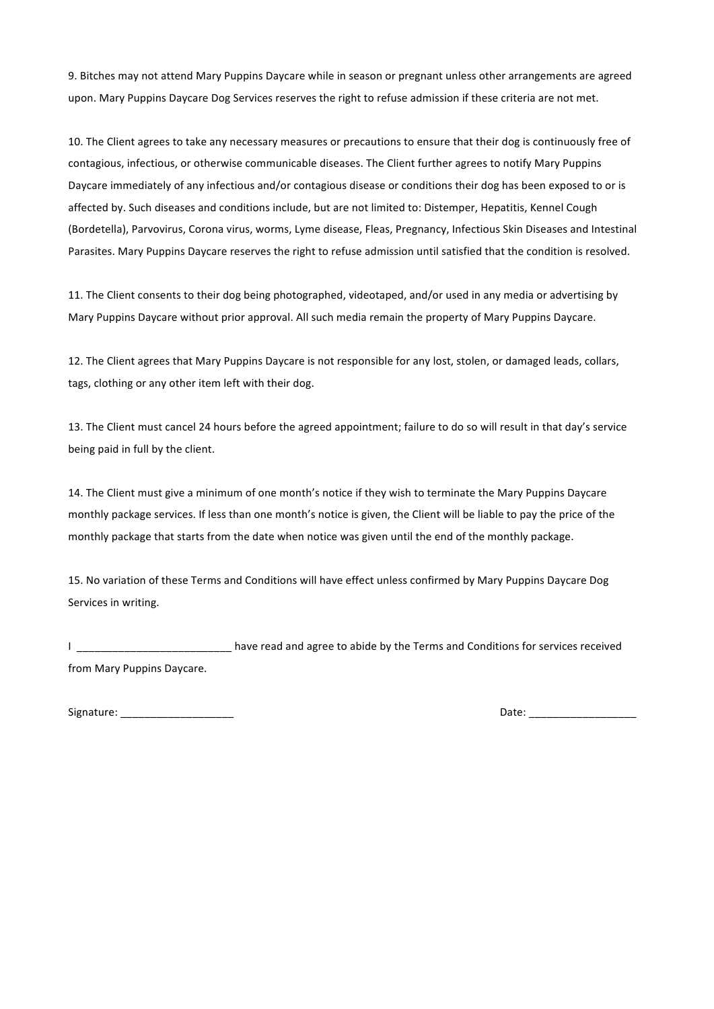9. Bitches may not attend Mary Puppins Daycare while in season or pregnant unless other arrangements are agreed upon. Mary Puppins Daycare Dog Services reserves the right to refuse admission if these criteria are not met.

10. The Client agrees to take any necessary measures or precautions to ensure that their dog is continuously free of contagious, infectious, or otherwise communicable diseases. The Client further agrees to notify Mary Puppins Daycare immediately of any infectious and/or contagious disease or conditions their dog has been exposed to or is affected by. Such diseases and conditions include, but are not limited to: Distemper, Hepatitis, Kennel Cough (Bordetella), Parvovirus, Corona virus, worms, Lyme disease, Fleas, Pregnancy, Infectious Skin Diseases and Intestinal Parasites. Mary Puppins Daycare reserves the right to refuse admission until satisfied that the condition is resolved.

11. The Client consents to their dog being photographed, videotaped, and/or used in any media or advertising by Mary Puppins Daycare without prior approval. All such media remain the property of Mary Puppins Daycare.

12. The Client agrees that Mary Puppins Daycare is not responsible for any lost, stolen, or damaged leads, collars, tags, clothing or any other item left with their dog.

13. The Client must cancel 24 hours before the agreed appointment; failure to do so will result in that day's service being paid in full by the client.

14. The Client must give a minimum of one month's notice if they wish to terminate the Mary Puppins Daycare monthly package services. If less than one month's notice is given, the Client will be liable to pay the price of the monthly package that starts from the date when notice was given until the end of the monthly package.

15. No variation of these Terms and Conditions will have effect unless confirmed by Mary Puppins Daycare Dog Services in writing.

I \_\_\_\_\_\_\_\_\_\_\_\_\_\_\_\_\_\_\_\_\_\_\_\_\_\_\_\_ have read and agree to abide by the Terms and Conditions for services received from Mary Puppins Daycare.

Signature: \_\_\_\_\_\_\_\_\_\_\_\_\_\_\_\_\_\_\_ Date: \_\_\_\_\_\_\_\_\_\_\_\_\_\_\_\_\_\_